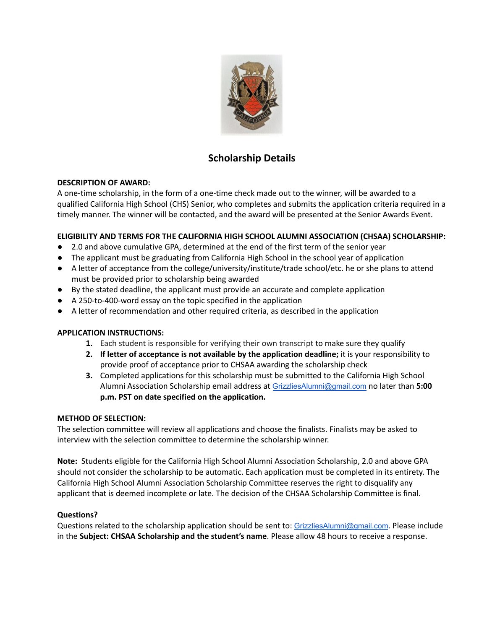

# **Scholarship Details**

## **DESCRIPTION OF AWARD:**

A one-time scholarship, in the form of a one-time check made out to the winner, will be awarded to a qualified California High School (CHS) Senior, who completes and submits the application criteria required in a timely manner. The winner will be contacted, and the award will be presented at the Senior Awards Event.

## **ELIGIBILITY AND TERMS FOR THE CALIFORNIA HIGH SCHOOL ALUMNI ASSOCIATION (CHSAA) SCHOLARSHIP:**

- *●* 2.0 and above cumulative GPA, determined at the end of the first term of the senior year
- *●* The applicant must be graduating from California High School in the school year of application
- *●* A letter of acceptance from the college/university/institute/trade school/etc. he or she plans to attend must be provided prior to scholarship being awarded
- *●* By the stated deadline, the applicant must provide an accurate and complete application
- *●* A 250-to-400-word essay on the topic specified in the application
- *●* A letter of recommendation and other required criteria, as described in the application

## **APPLICATION INSTRUCTIONS:**

- **1.** Each student is responsible for verifying their own transcript to make sure they qualify
- **2. If letter of acceptance is not available by the application deadline;** it is your responsibility to provide proof of acceptance prior to CHSAA awarding the scholarship check
- **3.** Completed applications for this scholarship must be submitted to the California High School Alumni Association Scholarship email address at [GrizzliesAlumni@gmail.com](mailto:GrizzliesAlumni@gmail.com) no later than **5:00 p.m. PST on date specified on the application.**

## **METHOD OF SELECTION:**

The selection committee will review all applications and choose the finalists. Finalists may be asked to interview with the selection committee to determine the scholarship winner.

**Note:** Students eligible for the California High School Alumni Association Scholarship, 2.0 and above GPA should not consider the scholarship to be automatic. Each application must be completed in its entirety. The California High School Alumni Association Scholarship Committee reserves the right to disqualify any applicant that is deemed incomplete or late. The decision of the CHSAA Scholarship Committee is final.

## **Questions?**

Questions related to the scholarship application should be sent to: [GrizzliesAlumni@gmail.com](mailto:GrizzliesAlumni@gmail.com). Please include in the **Subject: CHSAA Scholarship and the student's name**. Please allow 48 hours to receive a response.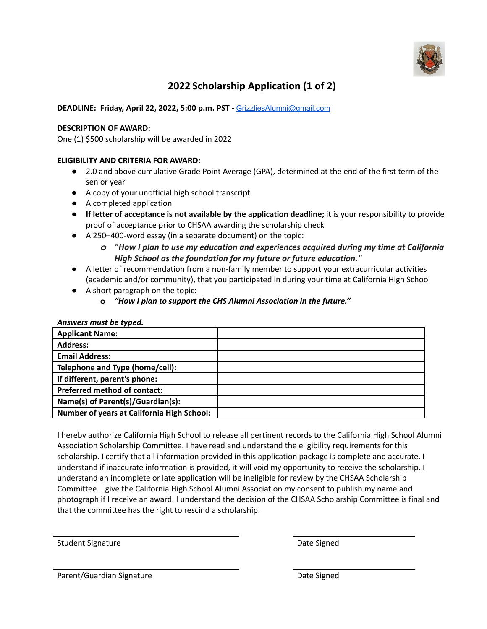

# **2022 Scholarship Application (1 of 2)**

## **DEADLINE: Friday, April 22, 2022, 5:00 p.m. PST -** [GrizzliesAlumni@gmail.com](mailto:GrizzliesAlumni@gmail.com)

### **DESCRIPTION OF AWARD:**

One (1) \$500 scholarship will be awarded in 2022

### **ELIGIBILITY AND CRITERIA FOR AWARD:**

- *●* 2.0 and above cumulative Grade Point Average (GPA), determined at the end of the first term of the senior year
- *●* A copy of your unofficial high school transcript
- A completed application
- **● If letter of acceptance is not available by the application deadline;** it is your responsibility to provide proof of acceptance prior to CHSAA awarding the scholarship check
- A 250–400-word essay (in a separate document) on the topic:
	- *o "How I plan to use my education and experiences acquired during my time at California High School as the foundation for my future or future education."*
- A letter of recommendation from a non-family member to support your extracurricular activities (academic and/or community), that you participated in during your time at California High School
- A short paragraph on the topic:
	- **o** *"How I plan to support the CHS Alumni Association in the future."*

#### *Answers must be typed.*

| <b>Applicant Name:</b>                            |  |
|---------------------------------------------------|--|
| <b>Address:</b>                                   |  |
| <b>Email Address:</b>                             |  |
| Telephone and Type (home/cell):                   |  |
| If different, parent's phone:                     |  |
| <b>Preferred method of contact:</b>               |  |
| Name(s) of Parent(s)/Guardian(s):                 |  |
| <b>Number of years at California High School:</b> |  |

I hereby authorize California High School to release all pertinent records to the California High School Alumni Association Scholarship Committee. I have read and understand the eligibility requirements for this scholarship. I certify that all information provided in this application package is complete and accurate. I understand if inaccurate information is provided, it will void my opportunity to receive the scholarship. I understand an incomplete or late application will be ineligible for review by the CHSAA Scholarship Committee. I give the California High School Alumni Association my consent to publish my name and photograph if I receive an award. I understand the decision of the CHSAA Scholarship Committee is final and that the committee has the right to rescind a scholarship.

Student Signature **Date Signature Date Signed** 

Parent/Guardian Signature Date Signed